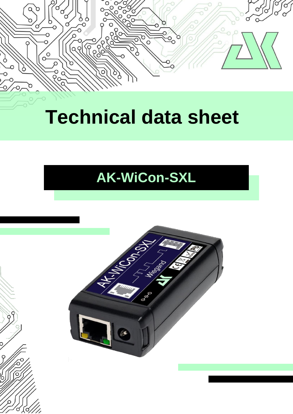

# **Technical data sheet**

## **AK-WiCon-SXL**

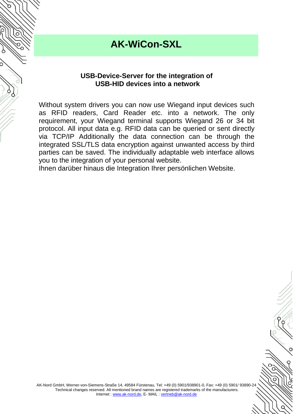#### **AK-WiCon-SXL**

#### **USB-Device-Server for the integration of USB-HID devices into a network**

Without system drivers you can now use Wiegand input devices such as RFID readers, Card Reader etc. into a network. The only requirement, your Wiegand terminal supports Wiegand 26 or 34 bit protocol. All input data e.g. RFID data can be queried or sent directly via TCP/IP Additionally the data connection can be through the integrated SSL/TLS data encryption against unwanted access by third parties can be saved. The individually adaptable web interface allows you to the integration of your personal website.

Ihnen darüber hinaus die Integration Ihrer persönlichen Website.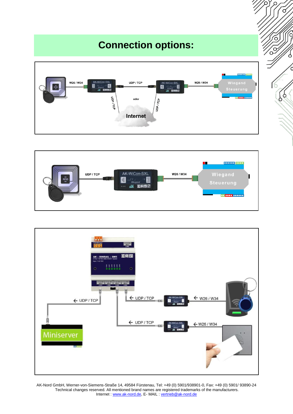## **Connection options:**







AK-Nord GmbH, Werner-von-Siemens-Straße 14, 49584 Fürstenau, Tel: +49 (0) 5901/938901-0, Fax: +49 (0) 5901/ 93890-24 Technical changes reserved. All mentioned brand names are registered trademarks of the manufacturers. Internet : [www.ak-nord.de,](http://www.ak-nord.de/) E-MAIL : [vertrieb@ak-nord.de](mailto:vertrieb@ak-nord.de)

 $\circ$ 

Ć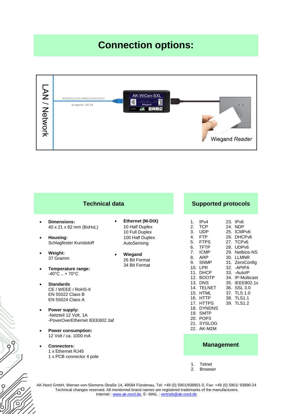## **Connection options:**



| <b>Technical data</b>                                                                                                                                                                                                                                                                                                                                                                                                                                | <b>Supported protocols</b>                                                                                                          |                                                                                                                                                                                                                                                                                                                                                                                                                                                                                                                                                                                                                                |  |  |  |  |
|------------------------------------------------------------------------------------------------------------------------------------------------------------------------------------------------------------------------------------------------------------------------------------------------------------------------------------------------------------------------------------------------------------------------------------------------------|-------------------------------------------------------------------------------------------------------------------------------------|--------------------------------------------------------------------------------------------------------------------------------------------------------------------------------------------------------------------------------------------------------------------------------------------------------------------------------------------------------------------------------------------------------------------------------------------------------------------------------------------------------------------------------------------------------------------------------------------------------------------------------|--|--|--|--|
| <b>Dimensions:</b><br>$\bullet$<br>$\bullet$<br>40 x 21 x 82 mm (BxHxL)<br>Housing:<br>$\bullet$<br>Schlagfester Kunststoff<br>Weight:<br>$\bullet$<br>$\bullet$<br>37 Gramm<br>Temperature range:<br>٠<br>$-40^{\circ}$ C  + 70 $^{\circ}$ C<br><b>Standards</b><br>$\bullet$<br>CE / WEEE / RoHS-II<br><b>EN 55022 Class B</b><br><b>EN 55024 Class A</b><br>Power supply:<br>$\bullet$<br>-Netzteil 12 Volt, 1A<br>-PoverOverEthernet IFFF802.3af | Ethernet (M-DIX)<br>10 Half Duplex<br>10 Full Duplex<br>100 Half Duplex<br>AutoSensing<br>Wiegand<br>26 Bit Format<br>34 Bit Format | IPv4<br>23. IPv6<br>1 <sub>1</sub><br><b>TCP</b><br>2.<br>24. NDP<br>3 <sub>1</sub><br><b>UDP</b><br>25. ICMPv6<br><b>FTP</b><br>4.<br>26. DHCPv6<br>5.<br><b>FTPS</b><br>27. TCPv6<br><b>TFTP</b><br>6.<br>28. UDPv6<br><b>ICMP</b><br>7 <sub>1</sub><br>29. Netbios-NS<br>8.<br>ARP<br>30. LLMNR<br><b>SNMP</b><br>9.<br>31. ZeroConfig<br>10. LPR<br>32. - APIPA<br>11. DHCP<br>33. - AutoIP<br>12. BOOTP<br>34. IP-Multicast<br>13. DNS<br>35. IEEE802.1x<br>14. TELNET<br>36. SSL 3.0<br>15. HTML<br>37. TLS 1.0<br>16. HTTP<br>38. TLS1.1<br>17. HTTPS<br>39. TLS1.2<br>18. DYNDNS<br>19. SMTP<br>20. POP3<br>21. SYSLOG |  |  |  |  |
| <b>Power consumption:</b><br>$\bullet$<br>12 Volt / ca. 1000 mA<br><b>Connectors:</b><br>1 x Ethernet RJ45<br>1 x PCB connector 4 pole                                                                                                                                                                                                                                                                                                               |                                                                                                                                     | 22. AK-M2M<br><b>Management</b>                                                                                                                                                                                                                                                                                                                                                                                                                                                                                                                                                                                                |  |  |  |  |
|                                                                                                                                                                                                                                                                                                                                                                                                                                                      |                                                                                                                                     | Telnet<br>$1_{-}$<br>2 <sub>1</sub><br><b>Browser</b>                                                                                                                                                                                                                                                                                                                                                                                                                                                                                                                                                                          |  |  |  |  |

AK-Nord GmbH, Werner-von-Siemens-Straße 14, 49584 Fürstenau, Tel: +49 (0) 5901/938901-0, Fax: +49 (0) 5901/ 93890-24 Technical changes reserved. All mentioned brand names are registered trademarks of the manufacturers. Internet : [www.ak-nord.de,](http://www.ak-nord.de/) E-MAIL : [vertrieb@ak-nord.de](mailto:vertrieb@ak-nord.de)

 $99$ 

ငှ

 $\rm \odot$ 

ဴဝ

<u>(ර</u>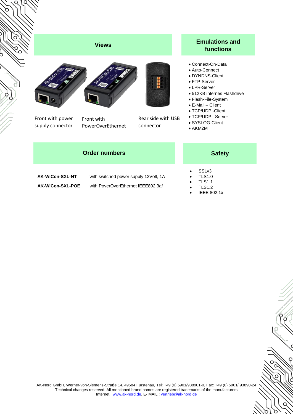





Front with power supply connector

Front with PowerOverEthernet



connector

#### **Emulations and functions**

- Connect-On-Data
- Auto-Connect
- DYNDNS-Client
- FTP-Server
- LPR-Server
- 512KB internes Flashdrive
- Flash-File-System
- E-Mail Client
- TCP/UDP -Client
- TCP/UDP –Server
- SYSLOG-Client
- AKM2M

|  | <b>Order numbers</b> |
|--|----------------------|
|--|----------------------|

**AK-WiCon-SXL-NT** with switched power supply 12Volt, 1A **AK-WiCon-SXL-POE** with PoverOverEthernet IEEE802.3af

 $\circ$ 

 $\epsilon$ 

 $\Omega$ 

Ö

 $\circ$ 

- SSLv3 TLS1.0
- TLS1.1
- TLS1.2
- IEEE 802.1x